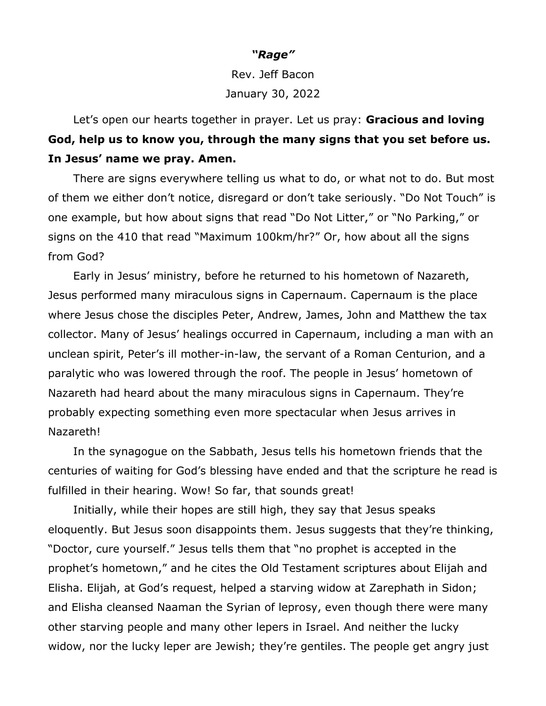## *"Rage"*

Rev. Jeff Bacon January 30, 2022

Let's open our hearts together in prayer. Let us pray: **Gracious and loving God, help us to know you, through the many signs that you set before us. In Jesus' name we pray. Amen.**

There are signs everywhere telling us what to do, or what not to do. But most of them we either don't notice, disregard or don't take seriously. "Do Not Touch" is one example, but how about signs that read "Do Not Litter," or "No Parking," or signs on the 410 that read "Maximum 100km/hr?" Or, how about all the signs from God?

Early in Jesus' ministry, before he returned to his hometown of Nazareth, Jesus performed many miraculous signs in Capernaum. Capernaum is the place where Jesus chose the disciples Peter, Andrew, James, John and Matthew the tax collector. Many of Jesus' healings occurred in Capernaum, including a man with an unclean spirit, Peter's ill mother-in-law, the servant of a Roman Centurion, and a paralytic who was lowered through the roof. The people in Jesus' hometown of Nazareth had heard about the many miraculous signs in Capernaum. They're probably expecting something even more spectacular when Jesus arrives in Nazareth!

In the synagogue on the Sabbath, Jesus tells his hometown friends that the centuries of waiting for God's blessing have ended and that the scripture he read is fulfilled in their hearing. Wow! So far, that sounds great!

Initially, while their hopes are still high, they say that Jesus speaks eloquently. But Jesus soon disappoints them. Jesus suggests that they're thinking, "Doctor, cure yourself." Jesus tells them that "no prophet is accepted in the prophet's hometown," and he cites the Old Testament scriptures about Elijah and Elisha. Elijah, at God's request, helped a starving widow at Zarephath in Sidon; and Elisha cleansed Naaman the Syrian of leprosy, even though there were many other starving people and many other lepers in Israel. And neither the lucky widow, nor the lucky leper are Jewish; they're gentiles. The people get angry just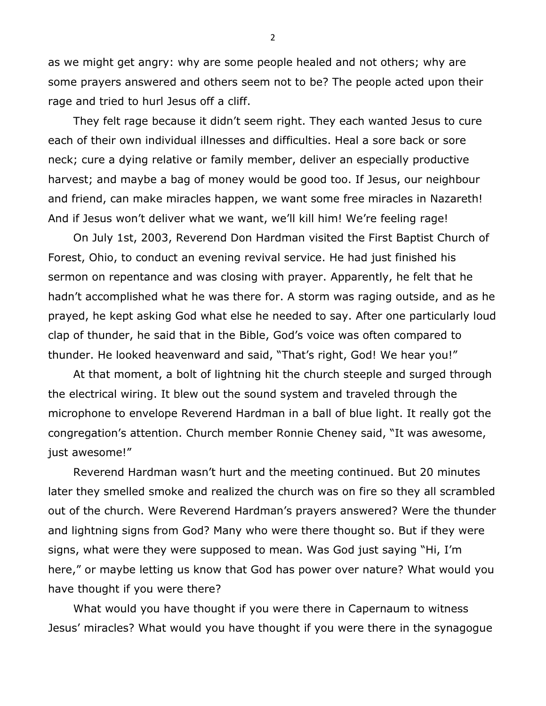as we might get angry: why are some people healed and not others; why are some prayers answered and others seem not to be? The people acted upon their rage and tried to hurl Jesus off a cliff.

They felt rage because it didn't seem right. They each wanted Jesus to cure each of their own individual illnesses and difficulties. Heal a sore back or sore neck; cure a dying relative or family member, deliver an especially productive harvest; and maybe a bag of money would be good too. If Jesus, our neighbour and friend, can make miracles happen, we want some free miracles in Nazareth! And if Jesus won't deliver what we want, we'll kill him! We're feeling rage!

On July 1st, 2003, Reverend Don Hardman visited the First Baptist Church of Forest, Ohio, to conduct an evening revival service. He had just finished his sermon on repentance and was closing with prayer. Apparently, he felt that he hadn't accomplished what he was there for. A storm was raging outside, and as he prayed, he kept asking God what else he needed to say. After one particularly loud clap of thunder, he said that in the Bible, God's voice was often compared to thunder. He looked heavenward and said, "That's right, God! We hear you!"

At that moment, a bolt of lightning hit the church steeple and surged through the electrical wiring. It blew out the sound system and traveled through the microphone to envelope Reverend Hardman in a ball of blue light. It really got the congregation's attention. Church member Ronnie Cheney said, "It was awesome, just awesome!"

Reverend Hardman wasn't hurt and the meeting continued. But 20 minutes later they smelled smoke and realized the church was on fire so they all scrambled out of the church. Were Reverend Hardman's prayers answered? Were the thunder and lightning signs from God? Many who were there thought so. But if they were signs, what were they were supposed to mean. Was God just saying "Hi, I'm here," or maybe letting us know that God has power over nature? What would you have thought if you were there?

What would you have thought if you were there in Capernaum to witness Jesus' miracles? What would you have thought if you were there in the synagogue

2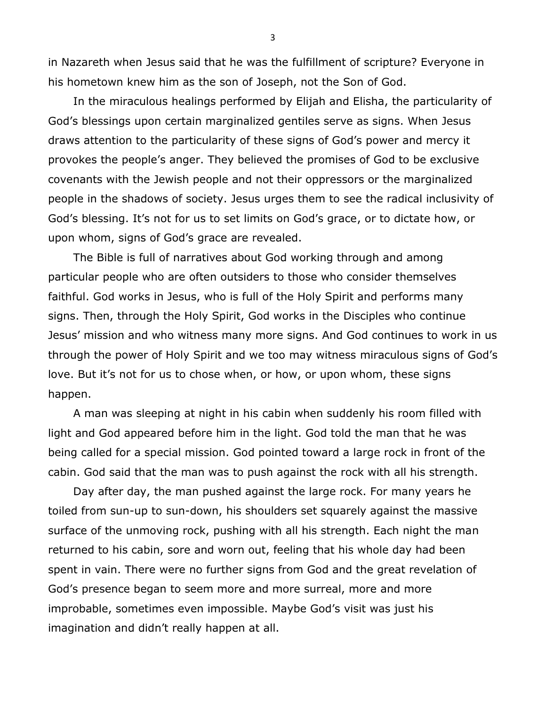in Nazareth when Jesus said that he was the fulfillment of scripture? Everyone in his hometown knew him as the son of Joseph, not the Son of God.

In the miraculous healings performed by Elijah and Elisha, the particularity of God's blessings upon certain marginalized gentiles serve as signs. When Jesus draws attention to the particularity of these signs of God's power and mercy it provokes the people's anger. They believed the promises of God to be exclusive covenants with the Jewish people and not their oppressors or the marginalized people in the shadows of society. Jesus urges them to see the radical inclusivity of God's blessing. It's not for us to set limits on God's grace, or to dictate how, or upon whom, signs of God's grace are revealed.

The Bible is full of narratives about God working through and among particular people who are often outsiders to those who consider themselves faithful. God works in Jesus, who is full of the Holy Spirit and performs many signs. Then, through the Holy Spirit, God works in the Disciples who continue Jesus' mission and who witness many more signs. And God continues to work in us through the power of Holy Spirit and we too may witness miraculous signs of God's love. But it's not for us to chose when, or how, or upon whom, these signs happen.

A man was sleeping at night in his cabin when suddenly his room filled with light and God appeared before him in the light. God told the man that he was being called for a special mission. God pointed toward a large rock in front of the cabin. God said that the man was to push against the rock with all his strength.

Day after day, the man pushed against the large rock. For many years he toiled from sun-up to sun-down, his shoulders set squarely against the massive surface of the unmoving rock, pushing with all his strength. Each night the man returned to his cabin, sore and worn out, feeling that his whole day had been spent in vain. There were no further signs from God and the great revelation of God's presence began to seem more and more surreal, more and more improbable, sometimes even impossible. Maybe God's visit was just his imagination and didn't really happen at all.

3